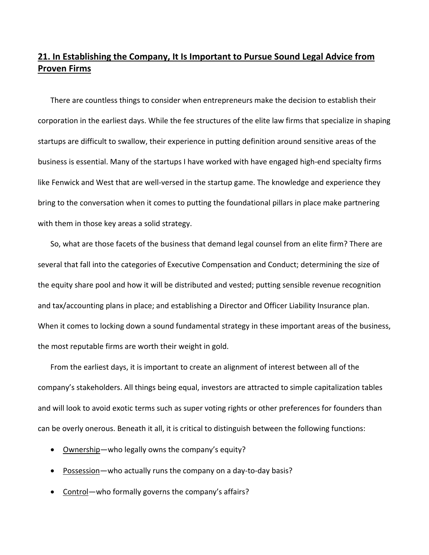## **21. In Establishing the Company, It Is Important to Pursue Sound Legal Advice from Proven Firms**

There are countless things to consider when entrepreneurs make the decision to establish their corporation in the earliest days. While the fee structures of the elite law firms that specialize in shaping startups are difficult to swallow, their experience in putting definition around sensitive areas of the business is essential. Many of the startups I have worked with have engaged high‐end specialty firms like Fenwick and West that are well‐versed in the startup game. The knowledge and experience they bring to the conversation when it comes to putting the foundational pillars in place make partnering with them in those key areas a solid strategy.

So, what are those facets of the business that demand legal counsel from an elite firm? There are several that fall into the categories of Executive Compensation and Conduct; determining the size of the equity share pool and how it will be distributed and vested; putting sensible revenue recognition and tax/accounting plans in place; and establishing a Director and Officer Liability Insurance plan. When it comes to locking down a sound fundamental strategy in these important areas of the business, the most reputable firms are worth their weight in gold.

From the earliest days, it is important to create an alignment of interest between all of the company's stakeholders. All things being equal, investors are attracted to simple capitalization tables and will look to avoid exotic terms such as super voting rights or other preferences for founders than can be overly onerous. Beneath it all, it is critical to distinguish between the following functions:

- Ownership—who legally owns the company's equity?
- Possession—who actually runs the company on a day-to-day basis?
- Control—who formally governs the company's affairs?